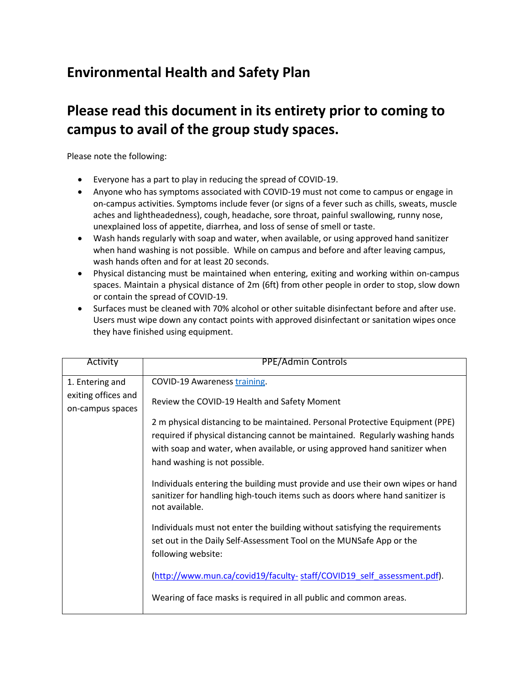## **Environmental Health and Safety Plan**

## **Please read this document in its entirety prior to coming to campus to avail of the group study spaces.**

Please note the following:

- Everyone has a part to play in reducing the spread of COVID-19.
- Anyone who has symptoms associated with COVID-19 must not come to campus or engage in on-campus activities. Symptoms include fever (or signs of a fever such as chills, sweats, muscle aches and lightheadedness), cough, headache, sore throat, painful swallowing, runny nose, unexplained loss of appetite, diarrhea, and loss of sense of smell or taste.
- Wash hands regularly with soap and water, when available, or using approved hand sanitizer when hand washing is not possible. While on campus and before and after leaving campus, wash hands often and for at least 20 seconds.
- Physical distancing must be maintained when entering, exiting and working within on-campus spaces. Maintain a physical distance of 2m (6ft) from other people in order to stop, slow down or contain the spread of COVID-19.
- Surfaces must be cleaned with 70% alcohol or other suitable disinfectant before and after use. Users must wipe down any contact points with approved disinfectant or sanitation wipes once they have finished using equipment.

| Activity            | <b>PPE/Admin Controls</b>                                                                                                                                                                                                                                                     |
|---------------------|-------------------------------------------------------------------------------------------------------------------------------------------------------------------------------------------------------------------------------------------------------------------------------|
| 1. Entering and     | COVID-19 Awareness training.                                                                                                                                                                                                                                                  |
| exiting offices and | Review the COVID-19 Health and Safety Moment                                                                                                                                                                                                                                  |
| on-campus spaces    |                                                                                                                                                                                                                                                                               |
|                     | 2 m physical distancing to be maintained. Personal Protective Equipment (PPE)<br>required if physical distancing cannot be maintained. Regularly washing hands<br>with soap and water, when available, or using approved hand sanitizer when<br>hand washing is not possible. |
|                     | Individuals entering the building must provide and use their own wipes or hand<br>sanitizer for handling high-touch items such as doors where hand sanitizer is<br>not available.                                                                                             |
|                     | Individuals must not enter the building without satisfying the requirements<br>set out in the Daily Self-Assessment Tool on the MUNSafe App or the                                                                                                                            |
|                     | following website:                                                                                                                                                                                                                                                            |
|                     | (http://www.mun.ca/covid19/faculty-staff/COVID19 self assessment.pdf).                                                                                                                                                                                                        |
|                     | Wearing of face masks is required in all public and common areas.                                                                                                                                                                                                             |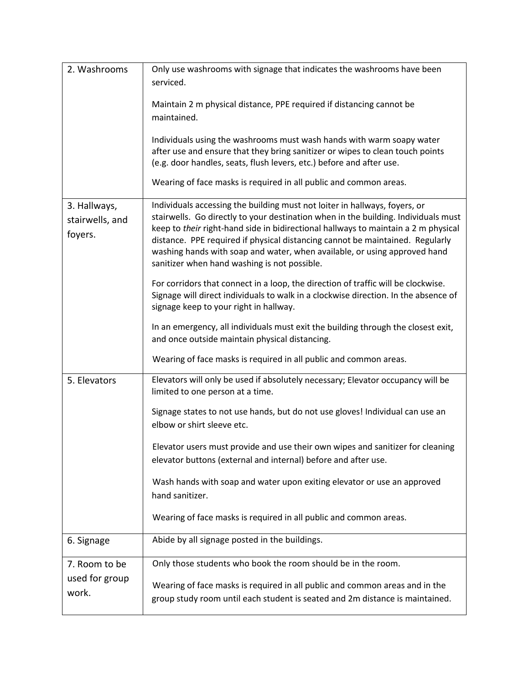| 2. Washrooms                               | Only use washrooms with signage that indicates the washrooms have been<br>serviced.                                                                                                                                                                                                                                                                                                                                                                                  |
|--------------------------------------------|----------------------------------------------------------------------------------------------------------------------------------------------------------------------------------------------------------------------------------------------------------------------------------------------------------------------------------------------------------------------------------------------------------------------------------------------------------------------|
|                                            | Maintain 2 m physical distance, PPE required if distancing cannot be<br>maintained.                                                                                                                                                                                                                                                                                                                                                                                  |
|                                            | Individuals using the washrooms must wash hands with warm soapy water<br>after use and ensure that they bring sanitizer or wipes to clean touch points<br>(e.g. door handles, seats, flush levers, etc.) before and after use.<br>Wearing of face masks is required in all public and common areas.                                                                                                                                                                  |
|                                            |                                                                                                                                                                                                                                                                                                                                                                                                                                                                      |
| 3. Hallways,<br>stairwells, and<br>foyers. | Individuals accessing the building must not loiter in hallways, foyers, or<br>stairwells. Go directly to your destination when in the building. Individuals must<br>keep to their right-hand side in bidirectional hallways to maintain a 2 m physical<br>distance. PPE required if physical distancing cannot be maintained. Regularly<br>washing hands with soap and water, when available, or using approved hand<br>sanitizer when hand washing is not possible. |
|                                            | For corridors that connect in a loop, the direction of traffic will be clockwise.<br>Signage will direct individuals to walk in a clockwise direction. In the absence of<br>signage keep to your right in hallway.                                                                                                                                                                                                                                                   |
|                                            | In an emergency, all individuals must exit the building through the closest exit,<br>and once outside maintain physical distancing.                                                                                                                                                                                                                                                                                                                                  |
|                                            | Wearing of face masks is required in all public and common areas.                                                                                                                                                                                                                                                                                                                                                                                                    |
| 5. Elevators                               | Elevators will only be used if absolutely necessary; Elevator occupancy will be<br>limited to one person at a time.                                                                                                                                                                                                                                                                                                                                                  |
|                                            | Signage states to not use hands, but do not use gloves! Individual can use an<br>elbow or shirt sleeve etc.                                                                                                                                                                                                                                                                                                                                                          |
|                                            | Elevator users must provide and use their own wipes and sanitizer for cleaning<br>elevator buttons (external and internal) before and after use.                                                                                                                                                                                                                                                                                                                     |
|                                            | Wash hands with soap and water upon exiting elevator or use an approved<br>hand sanitizer.                                                                                                                                                                                                                                                                                                                                                                           |
|                                            | Wearing of face masks is required in all public and common areas.                                                                                                                                                                                                                                                                                                                                                                                                    |
| 6. Signage                                 | Abide by all signage posted in the buildings.                                                                                                                                                                                                                                                                                                                                                                                                                        |
| 7. Room to be                              | Only those students who book the room should be in the room.                                                                                                                                                                                                                                                                                                                                                                                                         |
| used for group<br>work.                    | Wearing of face masks is required in all public and common areas and in the<br>group study room until each student is seated and 2m distance is maintained.                                                                                                                                                                                                                                                                                                          |